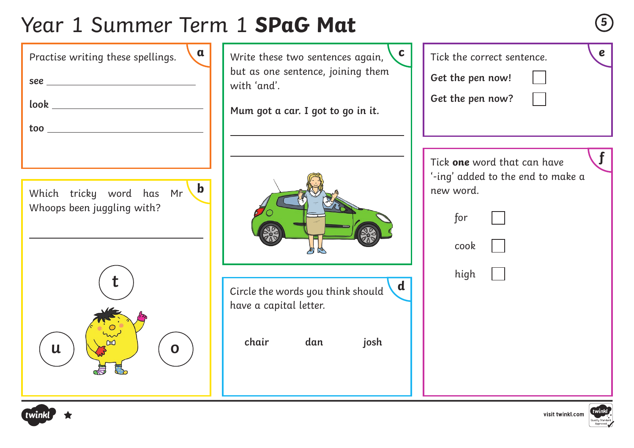# Year 1 Summer Term 1 **SPaG Mat <sup>5</sup>**





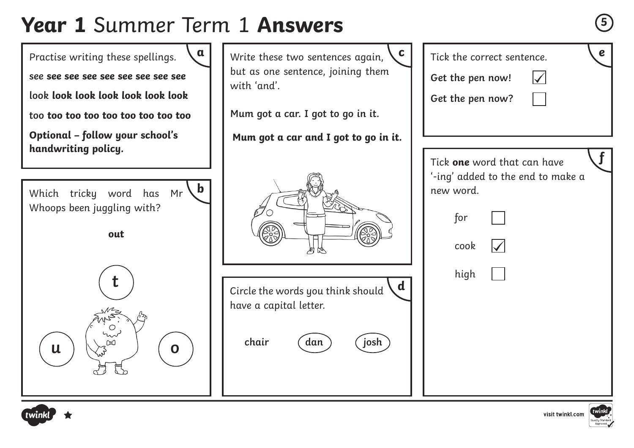## **Year 1** Summer Term 1 Answers





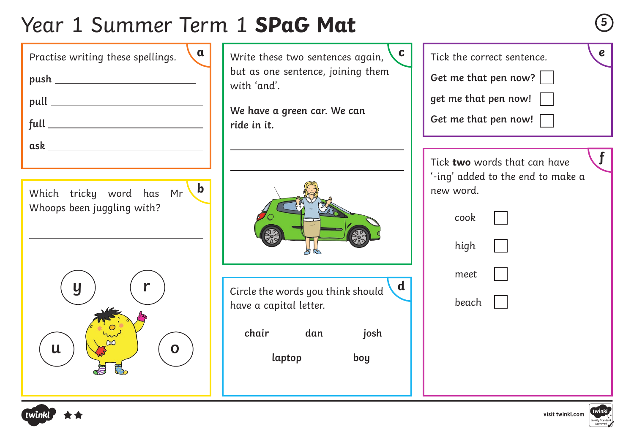# Year 1 Summer Term 1 **SPaG Mat <sup>5</sup>**





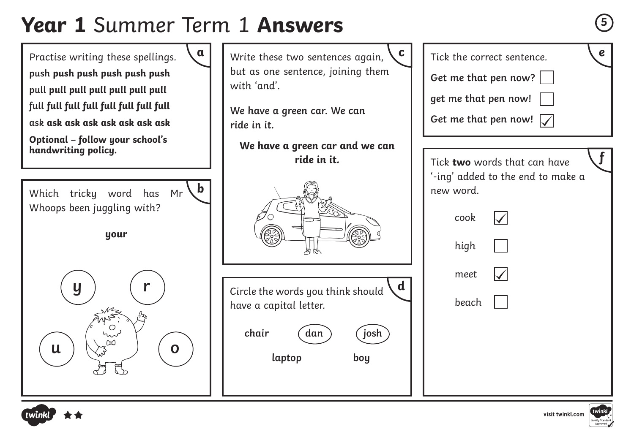## **Year 1** Summer Term 1 **Answers**





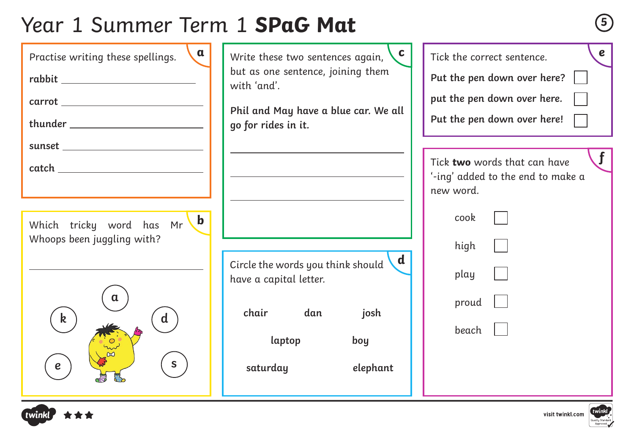# Year 1 Summer Term 1 **SPaG Mat <sup>5</sup>**

| $\mathbf{a}$<br>Practise writing these spellings.<br>$\begin{picture}(150,10) \put(0,0){\dashbox{0.5}(10,0){ }} \put(15,0){\circle{10}} \put(15,0){\circle{10}} \put(15,0){\circle{10}} \put(15,0){\circle{10}} \put(15,0){\circle{10}} \put(15,0){\circle{10}} \put(15,0){\circle{10}} \put(15,0){\circle{10}} \put(15,0){\circle{10}} \put(15,0){\circle{10}} \put(15,0){\circle{10}} \put(15,0){\circle{10}} \put(15,0){\circle{10}} \put(15$  | C<br>Write these two sentences again,<br>but as one sentence, joining them<br>with 'and'.<br>Phil and May have a blue car. We all<br>go for rides in it. | $\boldsymbol{e}$<br>Tick the correct sentence.<br>Put the pen down over here?<br>put the pen down over here.<br>Put the pen down over here! |
|---------------------------------------------------------------------------------------------------------------------------------------------------------------------------------------------------------------------------------------------------------------------------------------------------------------------------------------------------------------------------------------------------------------------------------------------------|----------------------------------------------------------------------------------------------------------------------------------------------------------|---------------------------------------------------------------------------------------------------------------------------------------------|
|                                                                                                                                                                                                                                                                                                                                                                                                                                                   |                                                                                                                                                          |                                                                                                                                             |
| $\begin{tabular}{c} catch \end{tabular} \begin{tabular}{c} \hspace*{2.5mm} \textbf{catch} \end{tabular} \begin{tabular}{c} \textbf{0} & \textbf{0} & \textbf{0} & \textbf{0} & \textbf{0} & \textbf{0} & \textbf{0} & \textbf{0} & \textbf{0} & \textbf{0} & \textbf{0} & \textbf{0} & \textbf{0} & \textbf{0} & \textbf{0} & \textbf{0} & \textbf{0} & \textbf{0} & \textbf{0} & \textbf{0} & \textbf{0} & \textbf{0} & \textbf{0} & \textbf{0}$ |                                                                                                                                                          | Tick two words that can have<br>'-ing' added to the end to make a                                                                           |
|                                                                                                                                                                                                                                                                                                                                                                                                                                                   |                                                                                                                                                          | new word.                                                                                                                                   |
| $\mathbf b$<br>Which tricky word has Mr<br>Whoops been juggling with?<br>$\mathbf d$<br>$\mathbf k$<br>e                                                                                                                                                                                                                                                                                                                                          | $\mathbf d$<br>Circle the words you think should<br>have a capital letter.<br>chair dan<br>josh<br>laptop<br>boy<br>saturday<br>elephant                 | cook<br>high<br>play<br>proud<br>beach                                                                                                      |